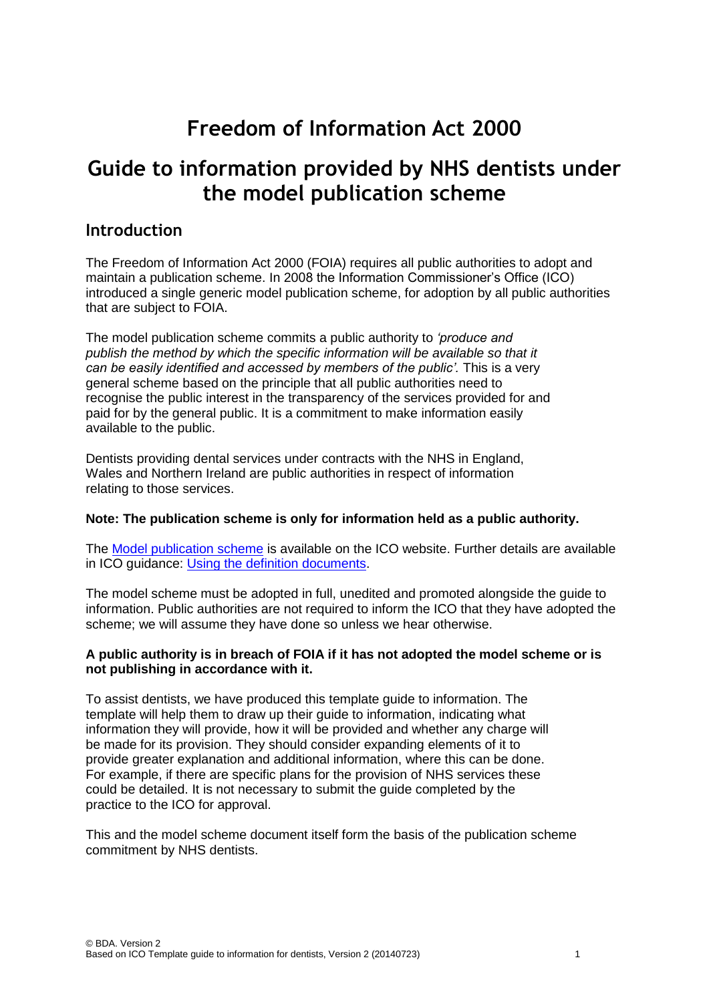# **Freedom of Information Act 2000**

# **Guide to information provided by NHS dentists under the model publication scheme**

### **Introduction**

The Freedom of Information Act 2000 (FOIA) requires all public authorities to adopt and maintain a publication scheme. In 2008 the Information Commissioner's Office (ICO) introduced a single generic model publication scheme, for adoption by all public authorities that are subject to FOIA.

The model publication scheme commits a public authority to *'produce and publish the method by which the specific information will be available so that it can be easily identified and accessed by members of the public'.* This is a very general scheme based on the principle that all public authorities need to recognise the public interest in the transparency of the services provided for and paid for by the general public. It is a commitment to make information easily available to the public.

Dentists providing dental services under contracts with the NHS in England, Wales and Northern Ireland are public authorities in respect of information relating to those services.

#### **Note: The publication scheme is only for information held as a public authority.**

The [Model publication scheme](http://ico.org.uk/for_organisations/guidance_index/~/media/documents/library/Freedom_of_Information/Detailed_specialist_guides/model-publication-scheme.pdf) is available on the ICO website. Further details are available in ICO guidance: [Using the definition documents.](http://ico.org.uk/for_organisations/guidance_index/~/media/documents/library/Freedom_of_Information/Practical_application/usingthedefinitiondocuments.ashx)

The model scheme must be adopted in full, unedited and promoted alongside the guide to information. Public authorities are not required to inform the ICO that they have adopted the scheme; we will assume they have done so unless we hear otherwise.

#### **A public authority is in breach of FOIA if it has not adopted the model scheme or is not publishing in accordance with it.**

To assist dentists, we have produced this template guide to information. The template will help them to draw up their guide to information, indicating what information they will provide, how it will be provided and whether any charge will be made for its provision. They should consider expanding elements of it to provide greater explanation and additional information, where this can be done. For example, if there are specific plans for the provision of NHS services these could be detailed. It is not necessary to submit the guide completed by the practice to the ICO for approval.

This and the model scheme document itself form the basis of the publication scheme commitment by NHS dentists.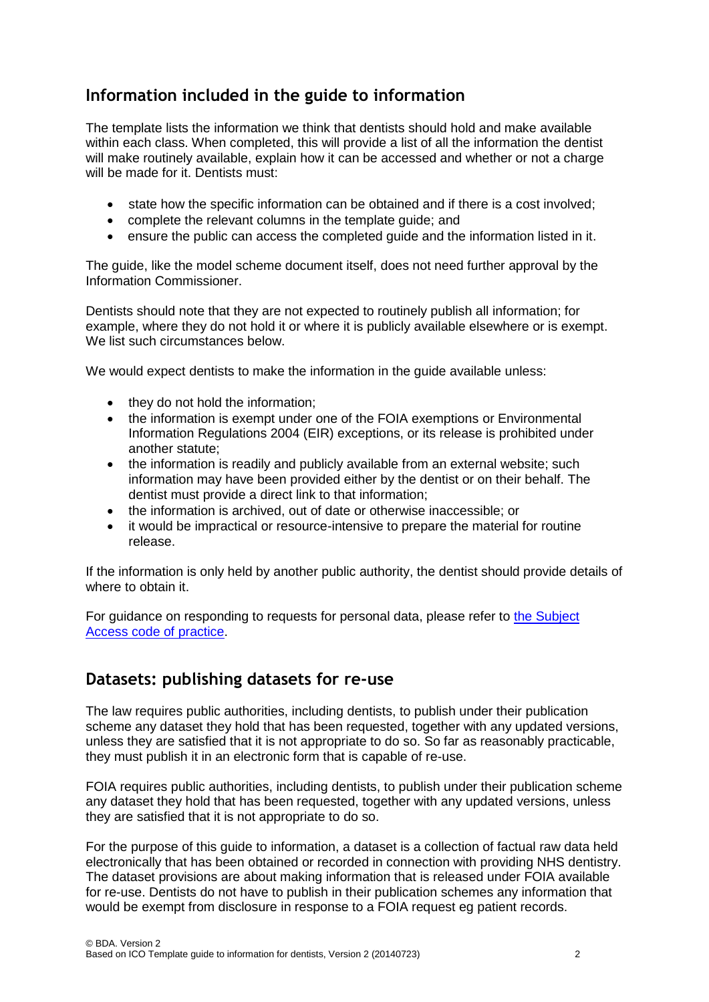# **Information included in the guide to information**

The template lists the information we think that dentists should hold and make available within each class. When completed, this will provide a list of all the information the dentist will make routinely available, explain how it can be accessed and whether or not a charge will be made for it. Dentists must:

- state how the specific information can be obtained and if there is a cost involved:
- complete the relevant columns in the template guide; and
- ensure the public can access the completed guide and the information listed in it.

The guide, like the model scheme document itself, does not need further approval by the Information Commissioner.

Dentists should note that they are not expected to routinely publish all information; for example, where they do not hold it or where it is publicly available elsewhere or is exempt. We list such circumstances below.

We would expect dentists to make the information in the quide available unless:

- they do not hold the information;
- the information is exempt under one of the FOIA exemptions or Environmental Information Regulations 2004 (EIR) exceptions, or its release is prohibited under another statute;
- the information is readily and publicly available from an external website; such information may have been provided either by the dentist or on their behalf. The dentist must provide a direct link to that information;
- the information is archived, out of date or otherwise inaccessible; or
- it would be impractical or resource-intensive to prepare the material for routine release.

If the information is only held by another public authority, the dentist should provide details of where to obtain it.

For guidance on responding to requests for personal data, please refer to [the Subject](http://ico.org.uk/for_organisations/data_protection/~/media/documents/library/Data_Protection/Detailed_specialist_guides/subject-access-code-of-practice.PDF)  [Access code of practice.](http://ico.org.uk/for_organisations/data_protection/~/media/documents/library/Data_Protection/Detailed_specialist_guides/subject-access-code-of-practice.PDF)

### **Datasets: publishing datasets for re-use**

The law requires public authorities, including dentists, to publish under their publication scheme any dataset they hold that has been requested, together with any updated versions, unless they are satisfied that it is not appropriate to do so. So far as reasonably practicable, they must publish it in an electronic form that is capable of re-use.

FOIA requires public authorities, including dentists, to publish under their publication scheme any dataset they hold that has been requested, together with any updated versions, unless they are satisfied that it is not appropriate to do so.

For the purpose of this guide to information, a dataset is a collection of factual raw data held electronically that has been obtained or recorded in connection with providing NHS dentistry. The dataset provisions are about making information that is released under FOIA available for re-use. Dentists do not have to publish in their publication schemes any information that would be exempt from disclosure in response to a FOIA request eg patient records.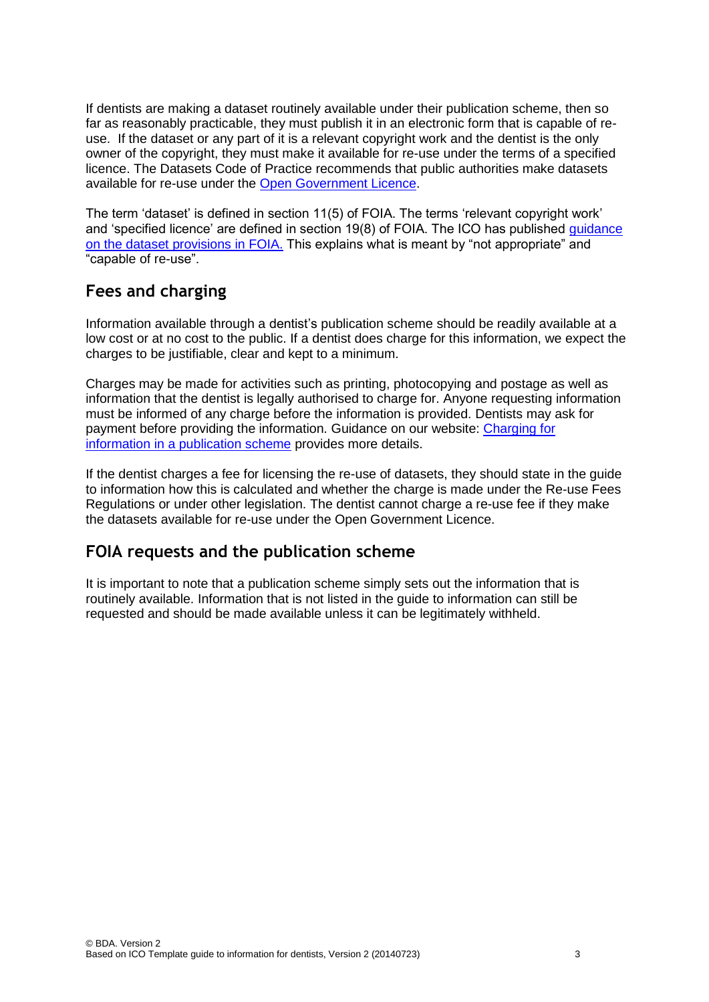If dentists are making a dataset routinely available under their publication scheme, then so far as reasonably practicable, they must publish it in an electronic form that is capable of reuse. If the dataset or any part of it is a relevant copyright work and the dentist is the only owner of the copyright, they must make it available for re-use under the terms of a specified licence. The Datasets Code of Practice recommends that public authorities make datasets available for re-use under the [Open Government Licence.](http://www.nationalarchives.gov.uk/doc/open-government-licence/version/2/)

The term 'dataset' is defined in section 11(5) of FOIA. The terms 'relevant copyright work' and 'specified licence' are defined in section 19(8) of FOIA. The ICO has published [guidance](http://www.ico.org.uk/for_organisations/guidance_index/~/media/documents/library/Freedom_of_Information/Detailed_specialist_guides/datasets-foi-guidance.pdf)  [on the dataset provisions in FOIA.](http://www.ico.org.uk/for_organisations/guidance_index/~/media/documents/library/Freedom_of_Information/Detailed_specialist_guides/datasets-foi-guidance.pdf) This explains what is meant by "not appropriate" and "capable of re-use".

# **Fees and charging**

Information available through a dentist's publication scheme should be readily available at a low cost or at no cost to the public. If a dentist does charge for this information, we expect the charges to be justifiable, clear and kept to a minimum.

Charges may be made for activities such as printing, photocopying and postage as well as information that the dentist is legally authorised to charge for. Anyone requesting information must be informed of any charge before the information is provided. Dentists may ask for payment before providing the information. Guidance on our website: [Charging for](http://www.ico.gov.uk/for_organisations/guidance_index/~/media/documents/library/Freedom_of_Information/Practical_application/can_i_charge_for_information.ashx)  [information in a publication scheme](http://www.ico.gov.uk/for_organisations/guidance_index/~/media/documents/library/Freedom_of_Information/Practical_application/can_i_charge_for_information.ashx) provides more details.

If the dentist charges a fee for licensing the re-use of datasets, they should state in the guide to information how this is calculated and whether the charge is made under the Re-use Fees Regulations or under other legislation. The dentist cannot charge a re-use fee if they make the datasets available for re-use under the Open Government Licence.

## **FOIA requests and the publication scheme**

It is important to note that a publication scheme simply sets out the information that is routinely available. Information that is not listed in the guide to information can still be requested and should be made available unless it can be legitimately withheld.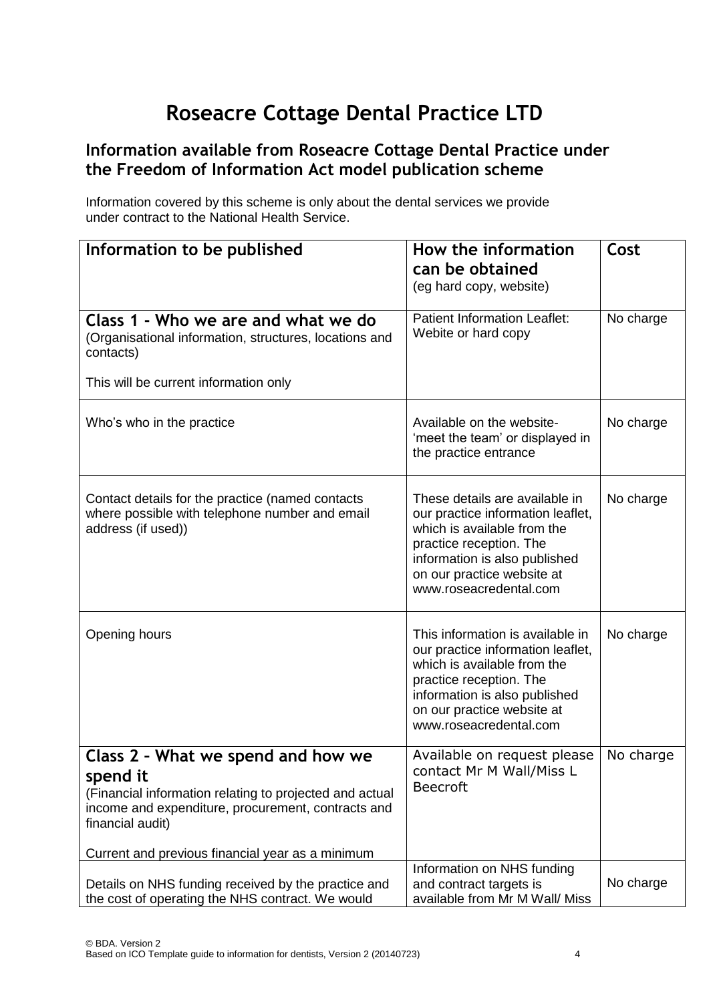# **Roseacre Cottage Dental Practice LTD**

## **Information available from Roseacre Cottage Dental Practice under the Freedom of Information Act model publication scheme**

Information covered by this scheme is only about the dental services we provide under contract to the National Health Service.

| Information to be published                                                                                                                                                                                                             | How the information<br>can be obtained                                                                                                                                                                                   | Cost      |
|-----------------------------------------------------------------------------------------------------------------------------------------------------------------------------------------------------------------------------------------|--------------------------------------------------------------------------------------------------------------------------------------------------------------------------------------------------------------------------|-----------|
|                                                                                                                                                                                                                                         | (eg hard copy, website)                                                                                                                                                                                                  |           |
| Class 1 - Who we are and what we do<br>(Organisational information, structures, locations and<br>contacts)                                                                                                                              | <b>Patient Information Leaflet:</b><br>Webite or hard copy                                                                                                                                                               | No charge |
| This will be current information only                                                                                                                                                                                                   |                                                                                                                                                                                                                          |           |
| Who's who in the practice                                                                                                                                                                                                               | Available on the website-<br>'meet the team' or displayed in<br>the practice entrance                                                                                                                                    | No charge |
| Contact details for the practice (named contacts<br>where possible with telephone number and email<br>address (if used))                                                                                                                | These details are available in<br>our practice information leaflet,<br>which is available from the<br>practice reception. The<br>information is also published<br>on our practice website at<br>www.roseacredental.com   | No charge |
| Opening hours                                                                                                                                                                                                                           | This information is available in<br>our practice information leaflet,<br>which is available from the<br>practice reception. The<br>information is also published<br>on our practice website at<br>www.roseacredental.com | No charge |
| Class 2 - What we spend and how we<br>spend it<br>(Financial information relating to projected and actual<br>income and expenditure, procurement, contracts and<br>financial audit)<br>Current and previous financial year as a minimum | Available on request please<br>contact Mr M Wall/Miss L<br><b>Beecroft</b>                                                                                                                                               | No charge |
| Details on NHS funding received by the practice and<br>the cost of operating the NHS contract. We would                                                                                                                                 | Information on NHS funding<br>and contract targets is<br>available from Mr M Wall/ Miss                                                                                                                                  | No charge |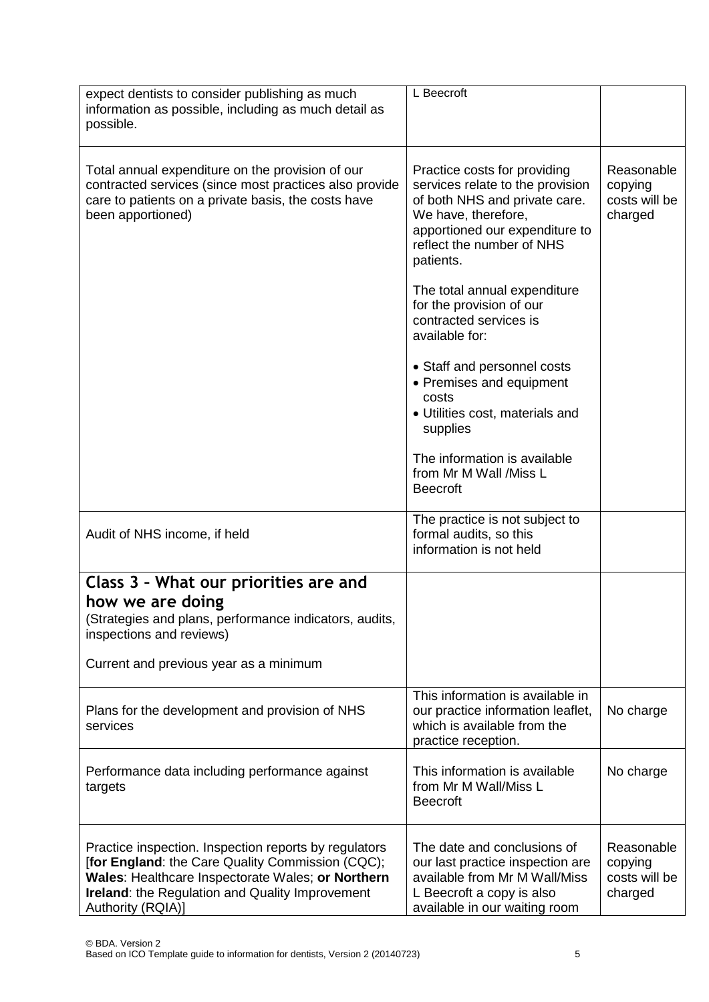| expect dentists to consider publishing as much<br>information as possible, including as much detail as<br>possible.                                                                                                                           | L Beecroft                                                                                                                                                                                           |                                                   |
|-----------------------------------------------------------------------------------------------------------------------------------------------------------------------------------------------------------------------------------------------|------------------------------------------------------------------------------------------------------------------------------------------------------------------------------------------------------|---------------------------------------------------|
| Total annual expenditure on the provision of our<br>contracted services (since most practices also provide<br>care to patients on a private basis, the costs have<br>been apportioned)                                                        | Practice costs for providing<br>services relate to the provision<br>of both NHS and private care.<br>We have, therefore,<br>apportioned our expenditure to<br>reflect the number of NHS<br>patients. | Reasonable<br>copying<br>costs will be<br>charged |
|                                                                                                                                                                                                                                               | The total annual expenditure<br>for the provision of our<br>contracted services is<br>available for:                                                                                                 |                                                   |
|                                                                                                                                                                                                                                               | • Staff and personnel costs<br>• Premises and equipment<br>costs<br>• Utilities cost, materials and<br>supplies                                                                                      |                                                   |
|                                                                                                                                                                                                                                               | The information is available<br>from Mr M Wall /Miss L<br><b>Beecroft</b>                                                                                                                            |                                                   |
| Audit of NHS income, if held                                                                                                                                                                                                                  | The practice is not subject to<br>formal audits, so this<br>information is not held                                                                                                                  |                                                   |
| Class 3 - What our priorities are and                                                                                                                                                                                                         |                                                                                                                                                                                                      |                                                   |
| how we are doing<br>(Strategies and plans, performance indicators, audits,<br>inspections and reviews)                                                                                                                                        |                                                                                                                                                                                                      |                                                   |
| Current and previous year as a minimum                                                                                                                                                                                                        |                                                                                                                                                                                                      |                                                   |
| Plans for the development and provision of NHS<br>services                                                                                                                                                                                    | This information is available in<br>our practice information leaflet,<br>which is available from the<br>practice reception.                                                                          | No charge                                         |
| Performance data including performance against<br>targets                                                                                                                                                                                     | This information is available<br>from Mr M Wall/Miss L<br><b>Beecroft</b>                                                                                                                            | No charge                                         |
| Practice inspection. Inspection reports by regulators<br>[for England: the Care Quality Commission (CQC);<br>Wales: Healthcare Inspectorate Wales; or Northern<br><b>Ireland:</b> the Regulation and Quality Improvement<br>Authority (RQIA)] | The date and conclusions of<br>our last practice inspection are<br>available from Mr M Wall/Miss<br>L Beecroft a copy is also<br>available in our waiting room                                       | Reasonable<br>copying<br>costs will be<br>charged |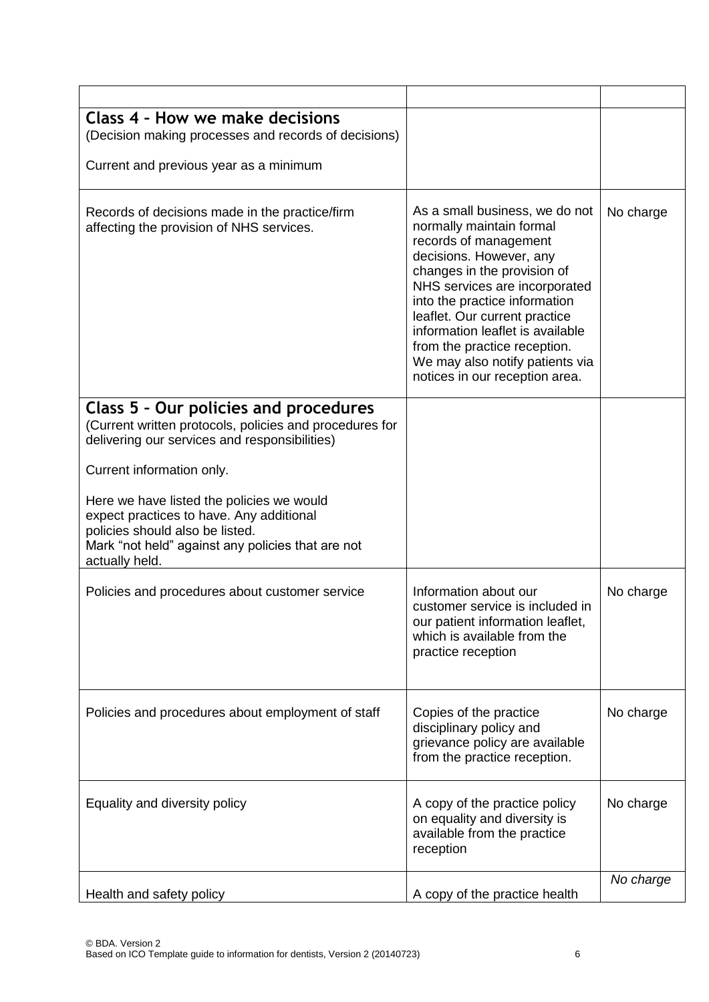| Class 4 - How we make decisions<br>(Decision making processes and records of decisions)                                                                                                         |                                                                                                                                                                                                                                                                                                                                                                                           |           |
|-------------------------------------------------------------------------------------------------------------------------------------------------------------------------------------------------|-------------------------------------------------------------------------------------------------------------------------------------------------------------------------------------------------------------------------------------------------------------------------------------------------------------------------------------------------------------------------------------------|-----------|
| Current and previous year as a minimum                                                                                                                                                          |                                                                                                                                                                                                                                                                                                                                                                                           |           |
| Records of decisions made in the practice/firm<br>affecting the provision of NHS services.                                                                                                      | As a small business, we do not<br>normally maintain formal<br>records of management<br>decisions. However, any<br>changes in the provision of<br>NHS services are incorporated<br>into the practice information<br>leaflet. Our current practice<br>information leaflet is available<br>from the practice reception.<br>We may also notify patients via<br>notices in our reception area. | No charge |
| Class 5 - Our policies and procedures<br>(Current written protocols, policies and procedures for<br>delivering our services and responsibilities)                                               |                                                                                                                                                                                                                                                                                                                                                                                           |           |
| Current information only.                                                                                                                                                                       |                                                                                                                                                                                                                                                                                                                                                                                           |           |
| Here we have listed the policies we would<br>expect practices to have. Any additional<br>policies should also be listed.<br>Mark "not held" against any policies that are not<br>actually held. |                                                                                                                                                                                                                                                                                                                                                                                           |           |
| Policies and procedures about customer service                                                                                                                                                  | Information about our<br>customer service is included in<br>our patient information leaflet,<br>which is available from the<br>practice reception                                                                                                                                                                                                                                         | No charge |
| Policies and procedures about employment of staff                                                                                                                                               | Copies of the practice<br>disciplinary policy and<br>grievance policy are available<br>from the practice reception.                                                                                                                                                                                                                                                                       | No charge |
| Equality and diversity policy                                                                                                                                                                   | A copy of the practice policy<br>on equality and diversity is<br>available from the practice<br>reception                                                                                                                                                                                                                                                                                 | No charge |
| Health and safety policy                                                                                                                                                                        | A copy of the practice health                                                                                                                                                                                                                                                                                                                                                             | No charge |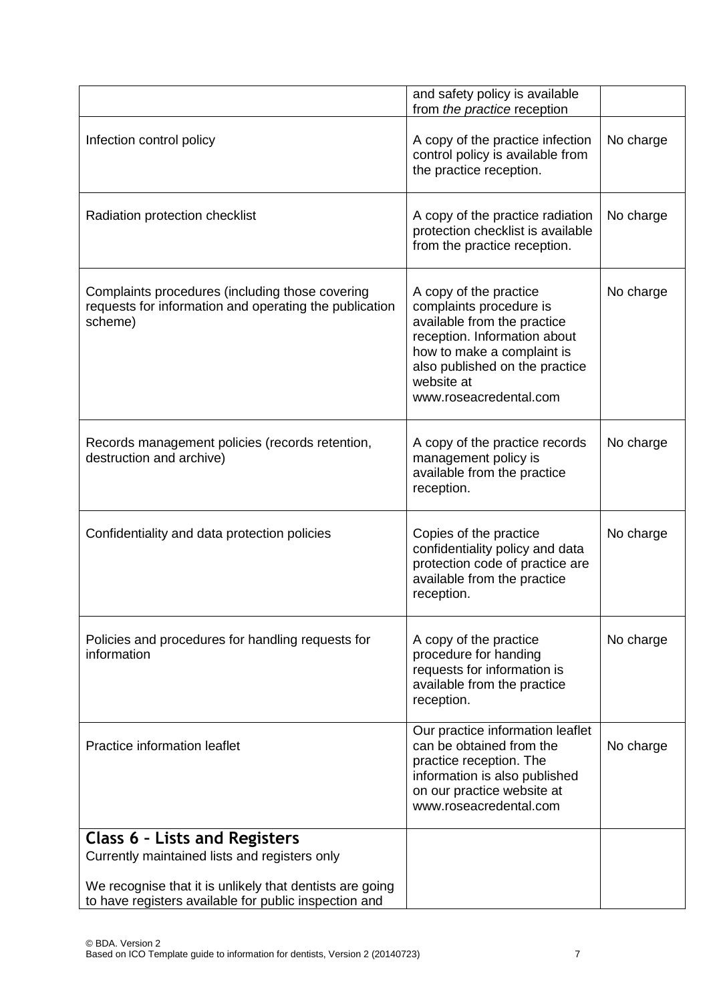|                                                                                                                                                                    | and safety policy is available<br>from the practice reception                                                                                                                                                            |           |
|--------------------------------------------------------------------------------------------------------------------------------------------------------------------|--------------------------------------------------------------------------------------------------------------------------------------------------------------------------------------------------------------------------|-----------|
| Infection control policy                                                                                                                                           | A copy of the practice infection<br>control policy is available from<br>the practice reception.                                                                                                                          | No charge |
| Radiation protection checklist                                                                                                                                     | A copy of the practice radiation<br>protection checklist is available<br>from the practice reception.                                                                                                                    | No charge |
| Complaints procedures (including those covering<br>requests for information and operating the publication<br>scheme)                                               | A copy of the practice<br>complaints procedure is<br>available from the practice<br>reception. Information about<br>how to make a complaint is<br>also published on the practice<br>website at<br>www.roseacredental.com | No charge |
| Records management policies (records retention,<br>destruction and archive)                                                                                        | A copy of the practice records<br>management policy is<br>available from the practice<br>reception.                                                                                                                      | No charge |
| Confidentiality and data protection policies                                                                                                                       | Copies of the practice<br>confidentiality policy and data<br>protection code of practice are<br>available from the practice<br>reception.                                                                                | No charge |
| Policies and procedures for handling requests for<br>information                                                                                                   | A copy of the practice<br>procedure for handing<br>requests for information is<br>available from the practice<br>reception.                                                                                              | No charge |
| Practice information leaflet                                                                                                                                       | Our practice information leaflet<br>can be obtained from the<br>practice reception. The<br>information is also published<br>on our practice website at<br>www.roseacredental.com                                         | No charge |
| <b>Class 6 - Lists and Registers</b>                                                                                                                               |                                                                                                                                                                                                                          |           |
| Currently maintained lists and registers only<br>We recognise that it is unlikely that dentists are going<br>to have registers available for public inspection and |                                                                                                                                                                                                                          |           |